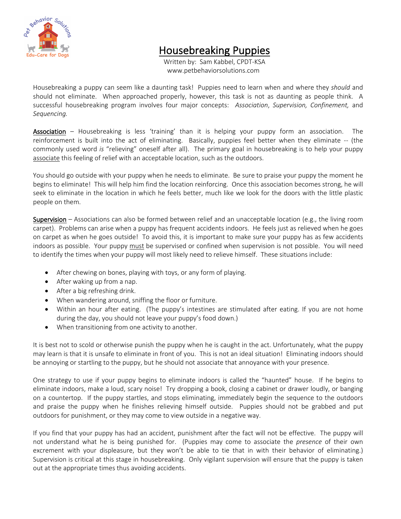

## Housebreaking Puppies<br>Written by: Sam Kabbel, CPDT-KSA

www.petbehaviorsolutions.com

Housebreaking a puppy can seem like a daunting task! Puppies need to learn when and where they *should* and should not eliminate. When approached properly, however, this task is not as daunting as people think. A successful housebreaking program involves four major concepts: *Association*, *Supervision, Confinement,* and *Sequencing.* 

Association – Housebreaking is less 'training' than it is helping your puppy form an association. The reinforcement is built into the act of eliminating. Basically, puppies feel better when they eliminate -- (the commonly used word *is* "relieving" oneself after all). The primary goal in housebreaking is to help your puppy associate this feeling of relief with an acceptable location, such as the outdoors.

You should go outside with your puppy when he needs to eliminate. Be sure to praise your puppy the moment he begins to eliminate! This will help him find the location reinforcing. Once this association becomes strong, he will seek to eliminate in the location in which he feels better, much like we look for the doors with the little plastic people on them.

Supervision – Associations can also be formed between relief and an unacceptable location (e.g., the living room carpet). Problems can arise when a puppy has frequent accidents indoors. He feels just as relieved when he goes on carpet as when he goes outside! To avoid this, it is important to make sure your puppy has as few accidents indoors as possible. Your puppy must be supervised or confined when supervision is not possible. You will need to identify the times when your puppy will most likely need to relieve himself. These situations include:

- After chewing on bones, playing with toys, or any form of playing.
- After waking up from a nap.
- After a big refreshing drink.
- When wandering around, sniffing the floor or furniture.
- Within an hour after eating. (The puppy's intestines are stimulated after eating. If you are not home during the day, you should not leave your puppy's food down.)
- When transitioning from one activity to another.

It is best not to scold or otherwise punish the puppy when he is caught in the act. Unfortunately, what the puppy may learn is that it is unsafe to eliminate in front of you. This is not an ideal situation! Eliminating indoors should be annoying or startling to the puppy, but he should not associate that annoyance with your presence.

One strategy to use if your puppy begins to eliminate indoors is called the "haunted" house. If he begins to eliminate indoors, make a loud, scary noise! Try dropping a book, closing a cabinet or drawer loudly, or banging on a countertop. If the puppy startles, and stops eliminating, immediately begin the sequence to the outdoors and praise the puppy when he finishes relieving himself outside. Puppies should not be grabbed and put outdoors for punishment, or they may come to view outside in a negative way.

If you find that your puppy has had an accident, punishment after the fact will not be effective. The puppy will not understand what he is being punished for. (Puppies may come to associate the *presence* of their own excrement with your displeasure, but they won't be able to tie that in with their behavior of eliminating.) Supervision is critical at this stage in housebreaking. Only vigilant supervision will ensure that the puppy is taken out at the appropriate times thus avoiding accidents.